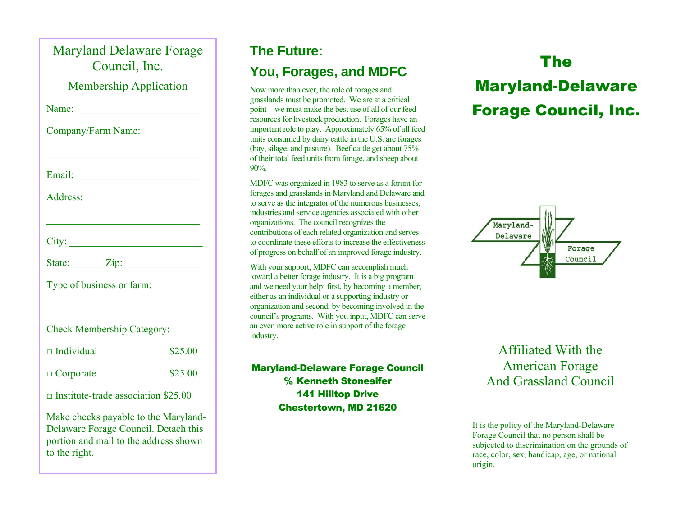| <b>Maryland Delaware Forage</b><br>Council, Inc.                                                                                       |         |
|----------------------------------------------------------------------------------------------------------------------------------------|---------|
| <b>Membership Application</b>                                                                                                          |         |
|                                                                                                                                        |         |
| Company/Farm Name:                                                                                                                     |         |
|                                                                                                                                        |         |
|                                                                                                                                        |         |
| City:                                                                                                                                  |         |
| State: $\angle Zip$ :                                                                                                                  |         |
| Type of business or farm:                                                                                                              |         |
| <b>Check Membership Category:</b>                                                                                                      |         |
| $\Box$ Individual                                                                                                                      | \$25.00 |
| $\Box$ Corporate                                                                                                                       | \$25.00 |
| $\Box$ Institute-trade association \$25.00                                                                                             |         |
| Make checks payable to the Maryland-<br>Delaware Forage Council. Detach this<br>portion and mail to the address shown<br>to the right. |         |

#### **The Future:**

#### **You, Forages, and MDFC**

Now more than ever, the role of forages and grasslands must be promoted. We are at a critical point—we must make the best use of all of our feed resources for livestock production. Forages have an important role to play. Approximately 65% of all feed units consumed by dairy cattle in the U.S. are forages (hay, silage, and pasture). Beef cattle get about 75% of their total feed units from forage, and sheep about 90%.

MDFC was organized in 1983 to serve as a forum for forages and grasslands in Maryland and Delaware and to serve as the integrator of the numerous businesses, industries and service agencies associated with other organizations. The council recognizes the contributions of each related organization and serves to coordinate these efforts to increase the effectiveness of progress on behalf of an improved forage industry.

With your support, MDFC can accomplish much toward a better forage industry. It is a big program and we need your help: first, by becoming a member, either as an individual or a supporting industry or organization and second, by becoming involved in the council's programs. With you input, MDFC can serve an even more active role in support of the forage industry.

Maryland-Delaware Forage Council℅ Kenneth Stonesifer 141 Hilltop DriveChestertown, MD 21620

# The Maryland-Delaware Forage Council, Inc.



Affiliated With the American Forage And Grassland Council

It is the policy of the Maryland-Delaware Forage Council that no person shall be subjected to discrimination on the grounds of race, color, sex, handicap, age, or national origin.